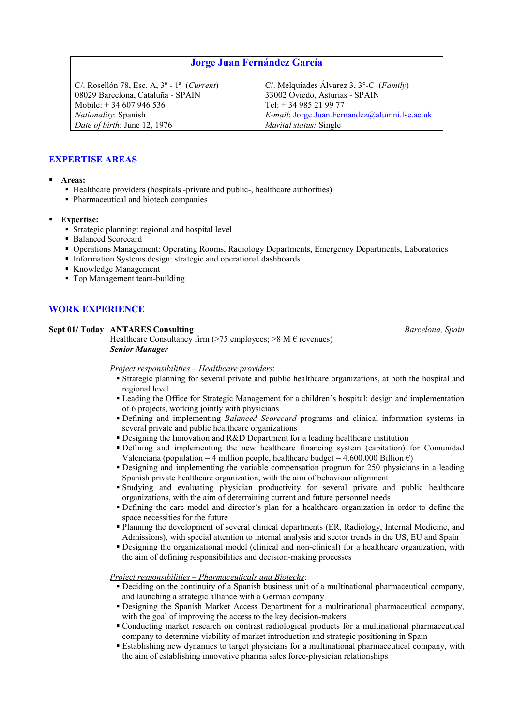# Jorge Juan Fernández García

C/. Rosellón 78, Esc. A, 3º - 1ª (Current) 08029 Barcelona, Cataluña - SPAIN Mobile: + 34 607 946 536 Nationality: Spanish Date of birth: June 12, 1976

 $C/$ . Melquiades Álvarez 3,  $3^{\circ}$ -C (*Family*) 33002 Oviedo, Asturias - SPAIN Tel: + 34 985 21 99 77 E-mail: Jorge.Juan.Fernandez@alumni.lse.ac.uk Marital status: Single

## EXPERTISE AREAS

- Areas:
	- Healthcare providers (hospitals -private and public-, healthcare authorities)
	- Pharmaceutical and biotech companies
- **Expertise:** 
	- Strategic planning: regional and hospital level
	- Balanced Scorecard
	- Operations Management: Operating Rooms, Radiology Departments, Emergency Departments, Laboratories
	- Information Systems design: strategic and operational dashboards
	- Knowledge Management
	- Top Management team-building

## WORK EXPERIENCE

#### Sept 01/ Today ANTARES Consulting and the separation of the Barcelona, Spain

Healthcare Consultancy firm ( $>75$  employees;  $>8$  M  $\epsilon$  revenues) Senior Manager

Project responsibilities – Healthcare providers:

- Strategic planning for several private and public healthcare organizations, at both the hospital and regional level
- Leading the Office for Strategic Management for a children's hospital: design and implementation of 6 projects, working jointly with physicians
- Defining and implementing *Balanced Scorecard* programs and clinical information systems in several private and public healthcare organizations
- Designing the Innovation and R&D Department for a leading healthcare institution
- Defining and implementing the new healthcare financing system (capitation) for Comunidad Valenciana (population = 4 million people, healthcare budget =  $4.600.000$  Billion  $\epsilon$ )
- Designing and implementing the variable compensation program for 250 physicians in a leading Spanish private healthcare organization, with the aim of behaviour alignment
- Studying and evaluating physician productivity for several private and public healthcare organizations, with the aim of determining current and future personnel needs
- Defining the care model and director's plan for a healthcare organization in order to define the space necessities for the future
- Planning the development of several clinical departments (ER, Radiology, Internal Medicine, and Admissions), with special attention to internal analysis and sector trends in the US, EU and Spain
- Designing the organizational model (clinical and non-clinical) for a healthcare organization, with the aim of defining responsibilities and decision-making processes

### Project responsibilities – Pharmaceuticals and Biotechs:

- Deciding on the continuity of a Spanish business unit of a multinational pharmaceutical company, and launching a strategic alliance with a German company
- Designing the Spanish Market Access Department for a multinational pharmaceutical company, with the goal of improving the access to the key decision-makers
- Conducting market research on contrast radiological products for a multinational pharmaceutical company to determine viability of market introduction and strategic positioning in Spain
- Establishing new dynamics to target physicians for a multinational pharmaceutical company, with the aim of establishing innovative pharma sales force-physician relationships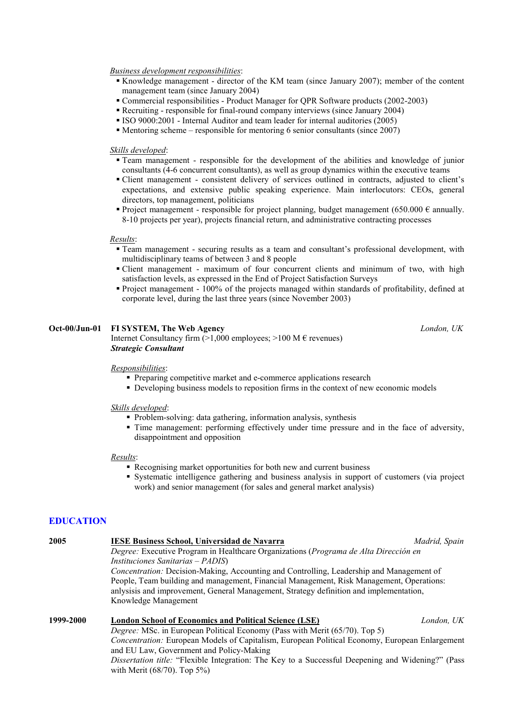## Business development responsibilities:

- Knowledge management director of the KM team (since January 2007); member of the content management team (since January 2004)
- Commercial responsibilities Product Manager for QPR Software products (2002-2003)
- Recruiting responsible for final-round company interviews (since January 2004)
- ISO 9000:2001 Internal Auditor and team leader for internal auditories (2005)
- $\blacksquare$  Mentoring scheme responsible for mentoring 6 senior consultants (since 2007)

## Skills developed:

- Team management responsible for the development of the abilities and knowledge of junior consultants (4-6 concurrent consultants), as well as group dynamics within the executive teams
- Client management consistent delivery of services outlined in contracts, adjusted to client's expectations, and extensive public speaking experience. Main interlocutors: CEOs, general directors, top management, politicians
- Project management responsible for project planning, budget management (650.000  $\epsilon$  annually. 8-10 projects per year), projects financial return, and administrative contracting processes

### Results:

- Team management securing results as a team and consultant's professional development, with multidisciplinary teams of between 3 and 8 people
- Client management maximum of four concurrent clients and minimum of two, with high satisfaction levels, as expressed in the End of Project Satisfaction Surveys
- Project management 100% of the projects managed within standards of profitability, defined at corporate level, during the last three years (since November 2003)

#### Oct-00/Jun-01 FI SYSTEM, The Web Agency London, UK Internet Consultancy firm (>1,000 employees; >100 M  $\epsilon$  revenues) Strategic Consultant

### Responsibilities:

- **Preparing competitive market and e-commerce applications research**
- Developing business models to reposition firms in the context of new economic models

#### Skills developed:

- Problem-solving: data gathering, information analysis, synthesis
- Time management: performing effectively under time pressure and in the face of adversity, disappointment and opposition

#### Results:

- Recognising market opportunities for both new and current business
- Systematic intelligence gathering and business analysis in support of customers (via project work) and senior management (for sales and general market analysis)

## EDUCATION

| 2005      | <b>IESE Business School, Universidad de Navarra</b>                                                      | Madrid, Spain |  |
|-----------|----------------------------------------------------------------------------------------------------------|---------------|--|
|           | Degree: Executive Program in Healthcare Organizations (Programa de Alta Dirección en                     |               |  |
|           | Instituciones Sanitarias - PADIS)                                                                        |               |  |
|           | <i>Concentration:</i> Decision-Making, Accounting and Controlling, Leadership and Management of          |               |  |
|           | People, Team building and management, Financial Management, Risk Management, Operations:                 |               |  |
|           | anlysisis and improvement, General Management, Strategy definition and implementation,                   |               |  |
|           | Knowledge Management                                                                                     |               |  |
| 1999-2000 | <b>London School of Economics and Political Science (LSE)</b>                                            | London. UK    |  |
|           | <i>Degree:</i> MSc. in European Political Economy (Pass with Merit (65/70). Top 5)                       |               |  |
|           |                                                                                                          |               |  |
|           | Concentration: European Models of Capitalism, European Political Economy, European Enlargement           |               |  |
|           | and EU Law, Government and Policy-Making                                                                 |               |  |
|           | <i>Dissertation title:</i> "Flexible Integration: The Key to a Successful Deepening and Widening?" (Pass |               |  |
|           | with Merit $(68/70)$ . Top 5%)                                                                           |               |  |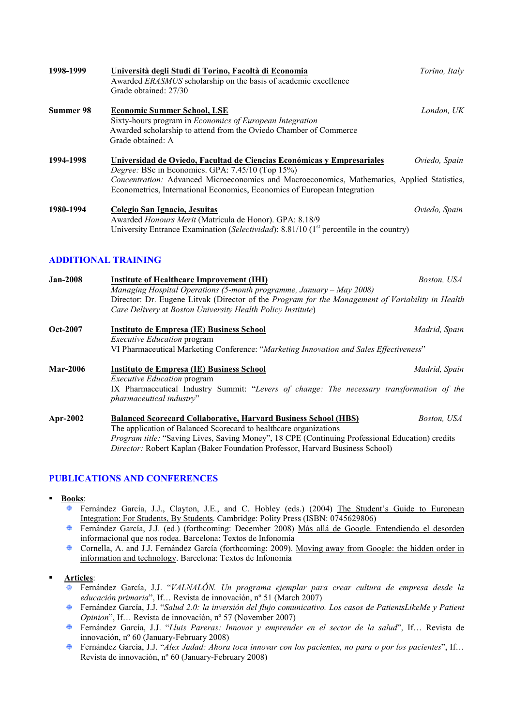| 1998-1999        | Università degli Studi di Torino, Facoltà di Economia<br>Awarded ERASMUS scholarship on the basis of academic excellence<br>Grade obtained: 27/30                                                                                                                                                              | Torino, Italy |
|------------------|----------------------------------------------------------------------------------------------------------------------------------------------------------------------------------------------------------------------------------------------------------------------------------------------------------------|---------------|
| <b>Summer 98</b> | <b>Economic Summer School, LSE</b><br>Sixty-hours program in <i>Economics of European Integration</i><br>Awarded scholarship to attend from the Oviedo Chamber of Commerce<br>Grade obtained: A                                                                                                                | London, UK    |
| 1994-1998        | Universidad de Oviedo, Facultad de Ciencias Económicas y Empresariales<br><i>Degree:</i> BSc in Economics. GPA: $7.45/10$ (Top 15%)<br>Concentration: Advanced Microeconomics and Macroeconomics, Mathematics, Applied Statistics,<br>Econometrics, International Economics, Economics of European Integration | Oviedo, Spain |
| 1980-1994        | Colegio San Ignacio, Jesuitas<br>Awarded Honours Merit (Matrícula de Honor). GPA: 8.18/9<br>University Entrance Examination (Selectividad): 8.81/10 (1 <sup>st</sup> percentile in the country)                                                                                                                | Oviedo, Spain |

# ADDITIONAL TRAINING

| <b>Jan-2008</b> | <b>Institute of Healthcare Improvement (IHI)</b><br>Managing Hospital Operations (5-month programme, January $-May 2008$ )<br>Director: Dr. Eugene Litvak (Director of the <i>Program for the Management of Variability in Health</i><br>Care Delivery at Boston University Health Policy Institute) | Boston, USA   |
|-----------------|------------------------------------------------------------------------------------------------------------------------------------------------------------------------------------------------------------------------------------------------------------------------------------------------------|---------------|
| <b>Oct-2007</b> | Instituto de Empresa (IE) Business School<br><i>Executive Education</i> program<br>VI Pharmaceutical Marketing Conference: "Marketing Innovation and Sales Effectiveness"                                                                                                                            | Madrid, Spain |
| <b>Mar-2006</b> | <b>Instituto de Empresa (IE) Business School</b><br><i>Executive Education</i> program<br>IX Pharmaceutical Industry Summit: "Levers of change: The necessary transformation of the<br><i>pharmaceutical industry</i> "                                                                              | Madrid, Spain |
| Apr-2002        | <b>Balanced Scorecard Collaborative, Harvard Business School (HBS)</b><br>The application of Balanced Scorecard to healthcare organizations                                                                                                                                                          | Boston, USA   |

Program title: "Saving Lives, Saving Money", 18 CPE (Continuing Professional Education) credits Director: Robert Kaplan (Baker Foundation Professor, Harvard Business School)

## PUBLICATIONS AND CONFERENCES

- Books:
	- Fernández García, J.J., Clayton, J.E., and C. Hobley (eds.) (2004) The Student's Guide to European  $\oplus$ Integration: For Students, By Students. Cambridge: Polity Press (ISBN: 0745629806)
	- $+$ Fernández García, J.J. (ed.) (forthcoming: December 2008) Más allá de Google. Entendiendo el desorden informacional que nos rodea. Barcelona: Textos de Infonomía
	- Cornella, A. and J.J. Fernández García (forthcoming: 2009). Moving away from Google: the hidden order in  $\bigoplus$ information and technology. Barcelona: Textos de Infonomía

# Articles:

- Fernández García, J.J. "VALNALÓN. Un programa ejemplar para crear cultura de empresa desde la educación primaria", If… Revista de innovación, nº 51 (March 2007)
- $\oplus$ Fernández García, J.J. "Salud 2.0: la inversión del flujo comunicativo. Los casos de PatientsLikeMe y Patient Opinion", If… Revista de innovación, nº 57 (November 2007)
- Fernández García, J.J. "Lluis Pareras: Innovar y emprender en el sector de la salud", If… Revista de innovación, nº 60 (January-February 2008)
- Fernández García, J.J. "Alex Jadad: Ahora toca innovar con los pacientes, no para o por los pacientes", If…  $+$ Revista de innovación, nº 60 (January-February 2008)